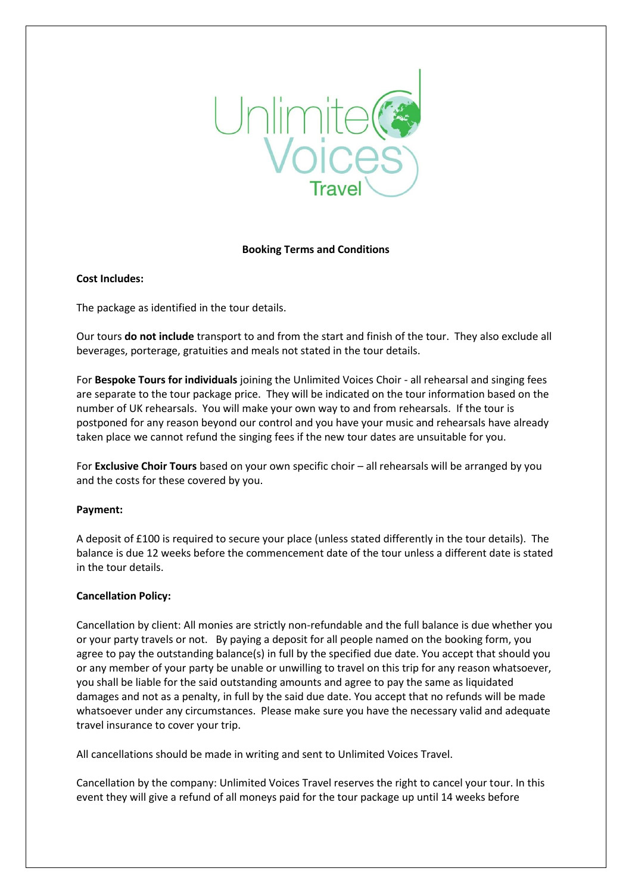

## **Booking Terms and Conditions**

# **Cost Includes:**

The package as identified in the tour details.

Our tours **do not include** transport to and from the start and finish of the tour. They also exclude all beverages, porterage, gratuities and meals not stated in the tour details.

For **Bespoke Tours for individuals** joining the Unlimited Voices Choir - all rehearsal and singing fees are separate to the tour package price. They will be indicated on the tour information based on the number of UK rehearsals. You will make your own way to and from rehearsals. If the tour is postponed for any reason beyond our control and you have your music and rehearsals have already taken place we cannot refund the singing fees if the new tour dates are unsuitable for you.

For **Exclusive Choir Tours** based on your own specific choir – all rehearsals will be arranged by you and the costs for these covered by you.

## **Payment:**

A deposit of £100 is required to secure your place (unless stated differently in the tour details). The balance is due 12 weeks before the commencement date of the tour unless a different date is stated in the tour details.

## **Cancellation Policy:**

Cancellation by client: All monies are strictly non-refundable and the full balance is due whether you or your party travels or not. By paying a deposit for all people named on the booking form, you agree to pay the outstanding balance(s) in full by the specified due date. You accept that should you or any member of your party be unable or unwilling to travel on this trip for any reason whatsoever, you shall be liable for the said outstanding amounts and agree to pay the same as liquidated damages and not as a penalty, in full by the said due date. You accept that no refunds will be made whatsoever under any circumstances. Please make sure you have the necessary valid and adequate travel insurance to cover your trip.

All cancellations should be made in writing and sent to Unlimited Voices Travel.

Cancellation by the company: Unlimited Voices Travel reserves the right to cancel your tour. In this event they will give a refund of all moneys paid for the tour package up until 14 weeks before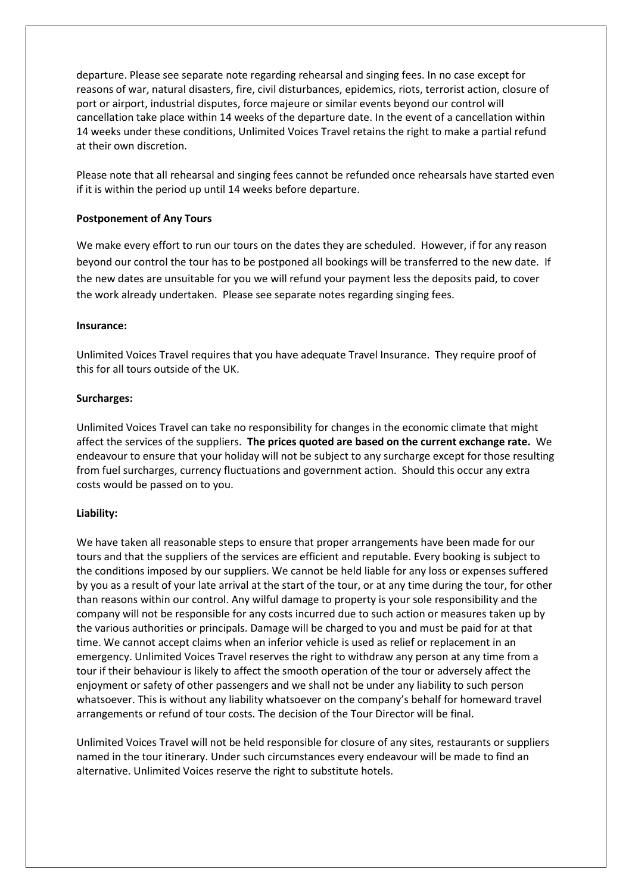departure. Please see separate note regarding rehearsal and singing fees. In no case except for reasons of war, natural disasters, fire, civil disturbances, epidemics, riots, terrorist action, closure of port or airport, industrial disputes, force majeure or similar events beyond our control will cancellation take place within 14 weeks of the departure date. In the event of a cancellation within 14 weeks under these conditions, Unlimited Voices Travel retains the right to make a partial refund at their own discretion.

Please note that all rehearsal and singing fees cannot be refunded once rehearsals have started even if it is within the period up until 14 weeks before departure.

## **Postponement of Any Tours**

We make every effort to run our tours on the dates they are scheduled. However, if for any reason beyond our control the tour has to be postponed all bookings will be transferred to the new date. If the new dates are unsuitable for you we will refund your payment less the deposits paid, to cover the work already undertaken. Please see separate notes regarding singing fees.

## **Insurance:**

Unlimited Voices Travel requires that you have adequate Travel Insurance. They require proof of this for all tours outside of the UK.

## **Surcharges:**

Unlimited Voices Travel can take no responsibility for changes in the economic climate that might affect the services of the suppliers. **The prices quoted are based on the current exchange rate.** We endeavour to ensure that your holiday will not be subject to any surcharge except for those resulting from fuel surcharges, currency fluctuations and government action. Should this occur any extra costs would be passed on to you.

## **Liability:**

We have taken all reasonable steps to ensure that proper arrangements have been made for our tours and that the suppliers of the services are efficient and reputable. Every booking is subject to the conditions imposed by our suppliers. We cannot be held liable for any loss or expenses suffered by you as a result of your late arrival at the start of the tour, or at any time during the tour, for other than reasons within our control. Any wilful damage to property is your sole responsibility and the company will not be responsible for any costs incurred due to such action or measures taken up by the various authorities or principals. Damage will be charged to you and must be paid for at that time. We cannot accept claims when an inferior vehicle is used as relief or replacement in an emergency. Unlimited Voices Travel reserves the right to withdraw any person at any time from a tour if their behaviour is likely to affect the smooth operation of the tour or adversely affect the enjoyment or safety of other passengers and we shall not be under any liability to such person whatsoever. This is without any liability whatsoever on the company's behalf for homeward travel arrangements or refund of tour costs. The decision of the Tour Director will be final.

Unlimited Voices Travel will not be held responsible for closure of any sites, restaurants or suppliers named in the tour itinerary. Under such circumstances every endeavour will be made to find an alternative. Unlimited Voices reserve the right to substitute hotels.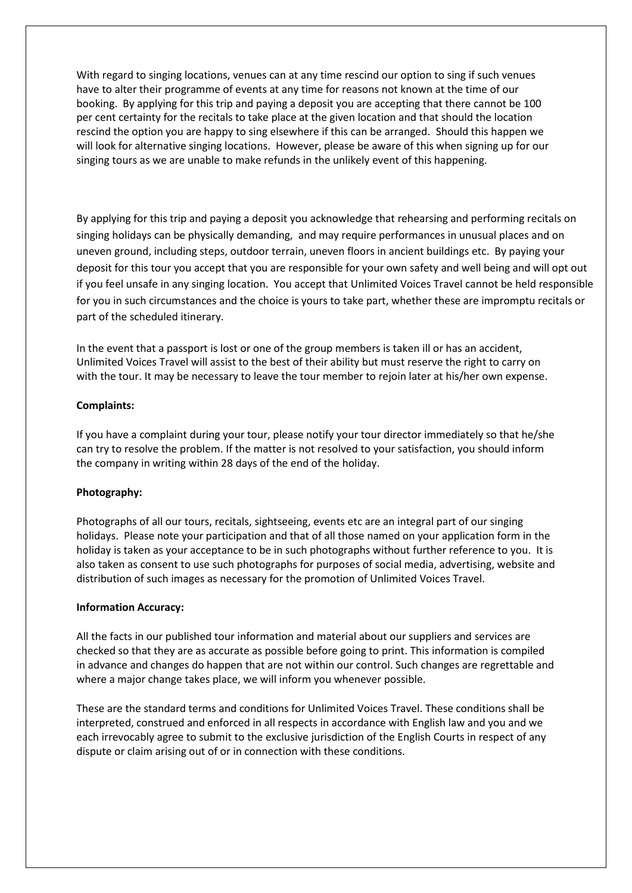With regard to singing locations, venues can at any time rescind our option to sing if such venues have to alter their programme of events at any time for reasons not known at the time of our booking. By applying for this trip and paying a deposit you are accepting that there cannot be 100 per cent certainty for the recitals to take place at the given location and that should the location rescind the option you are happy to sing elsewhere if this can be arranged. Should this happen we will look for alternative singing locations. However, please be aware of this when signing up for our singing tours as we are unable to make refunds in the unlikely event of this happening.

By applying for this trip and paying a deposit you acknowledge that rehearsing and performing recitals on singing holidays can be physically demanding, and may require performances in unusual places and on uneven ground, including steps, outdoor terrain, uneven floors in ancient buildings etc. By paying your deposit for this tour you accept that you are responsible for your own safety and well being and will opt out if you feel unsafe in any singing location. You accept that Unlimited Voices Travel cannot be held responsible for you in such circumstances and the choice is yours to take part, whether these are impromptu recitals or part of the scheduled itinerary.

In the event that a passport is lost or one of the group members is taken ill or has an accident, Unlimited Voices Travel will assist to the best of their ability but must reserve the right to carry on with the tour. It may be necessary to leave the tour member to rejoin later at his/her own expense.

# **Complaints:**

If you have a complaint during your tour, please notify your tour director immediately so that he/she can try to resolve the problem. If the matter is not resolved to your satisfaction, you should inform the company in writing within 28 days of the end of the holiday.

## **Photography:**

Photographs of all our tours, recitals, sightseeing, events etc are an integral part of our singing holidays. Please note your participation and that of all those named on your application form in the holiday is taken as your acceptance to be in such photographs without further reference to you. It is also taken as consent to use such photographs for purposes of social media, advertising, website and distribution of such images as necessary for the promotion of Unlimited Voices Travel.

## **Information Accuracy:**

All the facts in our published tour information and material about our suppliers and services are checked so that they are as accurate as possible before going to print. This information is compiled in advance and changes do happen that are not within our control. Such changes are regrettable and where a major change takes place, we will inform you whenever possible.

These are the standard terms and conditions for Unlimited Voices Travel. These conditions shall be interpreted, construed and enforced in all respects in accordance with English law and you and we each irrevocably agree to submit to the exclusive jurisdiction of the English Courts in respect of any dispute or claim arising out of or in connection with these conditions.